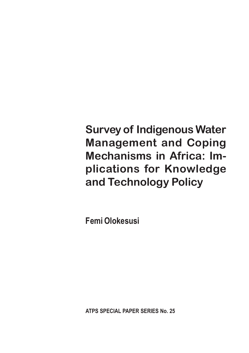**Survey of Indigenous Water Management and Coping Mechanisms in Africa: Implications for Knowledge and Technology Policy**

Femi Olokesusi

ATPS SPECIAL PAPER SERIES No. 25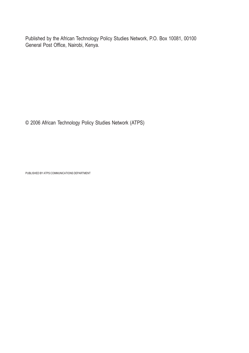Published by the African Technology Policy Studies Network, P.O. Box 10081, 00100 General Post Office, Nairobi, Kenya.

© 2006 African Technology Policy Studies Network (ATPS)

PUBLISHED BY ATPS COMMUNICATIONS DEPARTMENT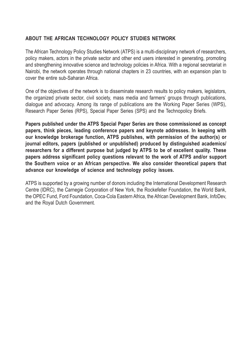#### ABOUT THE AFRICAN TECHNOLOGY POLICY STUDIES NETWORK

The African Technology Policy Studies Network (ATPS) is a multi-disciplinary network of researchers, policy makers, actors in the private sector and other end users interested in generating, promoting and strengthening innovative science and technology policies in Africa. With a regional secretariat in Nairobi, the network operates through national chapters in 23 countries, with an expansion plan to cover the entire sub-Saharan Africa.

One of the objectives of the network is to disseminate research results to policy makers, legislators, the organized private sector, civil society, mass media and farmers' groups through publications, dialogue and advocacy. Among its range of publications are the Working Paper Series (WPS), Research Paper Series (RPS), Special Paper Series (SPS) and the Technopolicy Briefs.

Papers published under the ATPS Special Paper Series are those commissioned as concept papers, think pieces, leading conference papers and keynote addresses. In keeping with our knowledge brokerage function, ATPS publishes, with permission of the author(s) or journal editors, papers (published or unpublished) produced by distinguished academics/ researchers for a different purpose but judged by ATPS to be of excellent quality. These papers address significant policy questions relevant to the work of ATPS and/or support the Southern voice or an African perspective. We also consider theoretical papers that advance our knowledge of science and technology policy issues.

ATPS is supported by a growing number of donors including the International Development Research Centre (IDRC), the Carnegie Corporation of New York, the Rockefeller Foundation, the World Bank, the OPEC Fund, Ford Foundation, Coca-Cola Eastern Africa, the African Development Bank, InfoDev, and the Royal Dutch Government.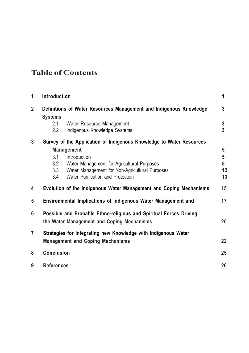# Table of Contents

| 1              | Introduction                                                   |                                                                                                 | 1      |  |  |  |  |
|----------------|----------------------------------------------------------------|-------------------------------------------------------------------------------------------------|--------|--|--|--|--|
| $\mathbf{2}$   | <b>Systems</b><br>2.1                                          | Definitions of Water Resources Management and Indigenous Knowledge<br>Water Resource Management | 3<br>3 |  |  |  |  |
|                | 2.2                                                            | Indigenous Knowledge Systems                                                                    | 3      |  |  |  |  |
| 3              |                                                                | Survey of the Application of Indigenous Knowledge to Water Resources                            |        |  |  |  |  |
|                |                                                                | <b>Management</b>                                                                               | 5      |  |  |  |  |
|                | 3.1                                                            | Introduction                                                                                    | 5      |  |  |  |  |
|                | 3.2                                                            | Water Management for Agricultural Purposes                                                      | 5      |  |  |  |  |
|                | 3.3                                                            | Water Management for Non-Agricultural Purposes                                                  | 12     |  |  |  |  |
|                | 3.4                                                            | Water Purification and Protection                                                               | 13     |  |  |  |  |
| 4              |                                                                | Evolution of the Indigenous Water Management and Coping Mechanisms                              | 15     |  |  |  |  |
| 5              |                                                                | Environmental Implications of Indigenous Water Management and                                   | 17     |  |  |  |  |
| 6              |                                                                | Possible and Probable Ethno-religious and Spiritual Forces Driving                              |        |  |  |  |  |
|                |                                                                | the Water Management and Coping Mechanisms                                                      | 20     |  |  |  |  |
| $\overline{7}$ | Strategies for Integrating new Knowledge with Indigenous Water |                                                                                                 |        |  |  |  |  |
|                |                                                                | <b>Management and Coping Mechanisms</b>                                                         | 22     |  |  |  |  |
| 8              | <b>Conclusion</b>                                              |                                                                                                 | 25     |  |  |  |  |
| 9              | <b>References</b>                                              |                                                                                                 | 26     |  |  |  |  |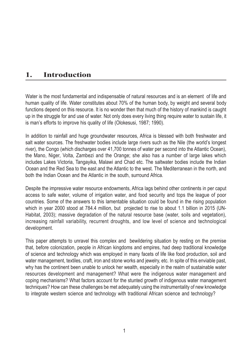### 1. Introduction

Water is the most fundamental and indispensable of natural resources and is an element of life and human quality of life. Water constitutes about 70% of the human body, by weight and several body functions depend on this resource. It is no wonder then that much of the history of mankind is caught up in the struggle for and use of water. Not only does every living thing require water to sustain life, it is man's efforts to improve his quality of life (Olokesusi, 1987; 1990).

In addition to rainfall and huge groundwater resources, Africa is blessed with both freshwater and salt water sources. The freshwater bodies include large rivers such as the Nile (the world's longest river), the Congo (which discharges over 41,700 tonnes of water per second into the Atlantic Ocean), the Mano, Niger, Volta, Zambezi and the Orange; she also has a number of large lakes which includes Lakes Victoria, Tangayika, Malawi and Chad etc. The saltwater bodies include the Indian Ocean and the Red Sea to the east and the Atlantic to the west. The Mediterranean in the north, and both the Indian Ocean and the Atlantic in the south, surround Africa.

Despite the impressive water resource endowments, Africa lags behind other continents in per caput access to safe water, volume of irrigation water, and food security and tops the league of poor countries. Some of the answers to this lamentable situation could be found in the rising population which in year 2000 stood at 784.4 million, but projected to rise to about 1.1 billion in 2015 (UN-Habitat, 2003); massive degradation of the natural resource base (water, soils and vegetation), increasing rainfall variability, recurrent droughts, and low level of science and technological development.

This paper attempts to unravel this complex and bewildering situation by resting on the premise that, before colonization, people in African kingdoms and empires, had deep traditional knowledge of science and technology which was employed in many facets of life like food production, soil and water management, textiles, craft, iron and stone works and jewelry, etc. In spite of this enviable past, why has the continent been unable to unlock her wealth, especially in the realm of sustainable water resources development and management? What were the indigenous water management and coping mechanisms? What factors account for the stunted growth of indigenous water management techniques? How can these challenges be met adequately using the instrumentality of new knowledge to integrate western science and technology with traditional African science and technology?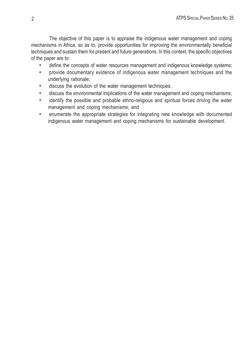The objective of this paper is to appraise the indigenous water management and coping mechanisms in Africa, so as to, provide opportunities for improving the environmentally beneficial techniques and sustain them for present and future generations. In this context, the specific objectives of the paper are to:

- define the concepts of water resources management and indigenous knowledge systems;
- provide documentary evidence of indigenous water management techniques and the underlying rationale;
- discuss the evolution of the water management techniques;
- discuss the environmental implications of the water management and coping mechanisms;
- identify the possible and probable ethno-religious and spiritual forces driving the water management and coping mechanisms; and
- enumerate the appropriate strategies for integrating new knowledge with documented indigenous water management and coping mechanisms for sustainable development.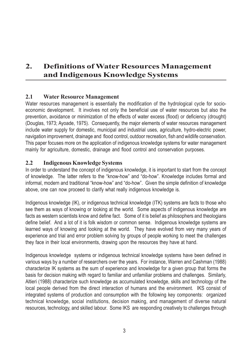# 2. Definitions of Water Resources Management and Indigenous Knowledge Systems

#### 2.1 Water Resource Management

Water resources management is essentially the modification of the hydrological cycle for socioeconomic development. It involves not only the beneficial use of water resources but also the prevention, avoidance or minimization of the effects of water excess (flood) or deficiency (drought) (Douglas, 1973; Ayoade, 1975). Consequently, the major elements of water resources management include water supply for domestic, municipal and industrial uses, agriculture, hydro-electric power, navigation improvement, drainage and flood control, outdoor recreation, fish and wildlife conservation. This paper focuses more on the application of indigenous knowledge systems for water management mainly for agriculture, domestic, drainage and flood control and conservation purposes.

#### 2.2 Indigenous Knowledge Systems

In order to understand the concept of indigenous knowledge, it is important to start from the concept of knowledge. The latter refers to the "know-how" and "do-how". Knowledge includes formal and informal, modern and traditional "know-how" and "do-how". Given the simple definition of knowledge above, one can now proceed to clarify what really indigenous knowledge is.

Indigenous knowledge (IK), or indigenous technical knowledge (ITK) systems are facts to those who see them as ways of knowing or looking at the world. Some aspects of indigenous knowledge are facts as western scientists know and define fact. Some of it is belief as philosophers and theologians define belief. And a lot of it is folk wisdom or common sense. Indigenous knowledge systems are learned ways of knowing and looking at the world. They have evolved from very many years of experience and trial and error problem solving by groups of people working to meet the challenges they face in their local environments, drawing upon the resources they have at hand.

Indigenous knowledge systems or indigenous technical knowledge systems have been defined in various ways by a number of researchers over the years. For instance, Warren and Cashman (1988) characterize IK systems as the sum of experience and knowledge for a given group that forms the basis for decision making with regard to familiar and unfamiliar problems and challenges. Similarly, Altieri (1988) characterize such knowledge as accumulated knowledge, skills and technology of the local people derived from the direct interaction of humans and the environment. IKS consist of integrated systems of production and consumption with the following key components: organized technical knowledge, social institutions, decision making, and management of diverse natural resources, technology, and skilled labour. Some IKS are responding creatively to challenges through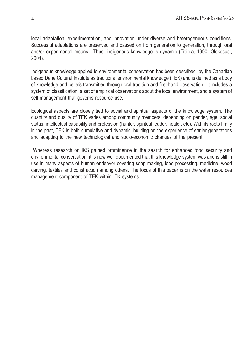local adaptation, experimentation, and innovation under diverse and heterogeneous conditions. Successful adaptations are preserved and passed on from generation to generation, through oral and/or experimental means. Thus, indigenous knowledge is dynamic (Titilola, 1990; Olokesusi, 2004).

Indigenous knowledge applied to environmental conservation has been described by the Canadian based Dene Cultural Institute as traditional environmental knowledge (TEK) and is defined as a body of knowledge and beliefs transmitted through oral tradition and first-hand observation. It includes a system of classification, a set of empirical observations about the local environment, and a system of self-management that governs resource use.

Ecological aspects are closely tied to social and spiritual aspects of the knowledge system. The quantity and quality of TEK varies among community members, depending on gender, age, social status, intellectual capability and profession (hunter, spiritual leader, healer, etc). With its roots firmly in the past, TEK is both cumulative and dynamic, building on the experience of earlier generations and adapting to the new technological and socio-economic changes of the present.

 Whereas research on IKS gained prominence in the search for enhanced food security and environmental conservation, it is now well documented that this knowledge system was and is still in use in many aspects of human endeavor covering soap making, food processing, medicine, wood carving, textiles and construction among others. The focus of this paper is on the water resources management component of TEK within ITK systems.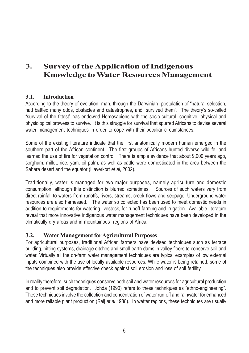# 3. Survey of the Application of Indigenous Knowledge to Water Resources Management

#### 3.1. Introduction

According to the theory of evolution, man, through the Darwinian postulation of "natural selection, had battled many odds, obstacles and catastrophes, and survived them". The theory's so-called "survival of the fittest" has endowed Homosapiens with the socio-cultural, cognitive, physical and physiological prowess to survive. It is this struggle for survival that spurred Africans to devise several water management techniques in order to cope with their peculiar circumstances.

Some of the existing literature indicate that the first anatomically modern human emerged in the southern part of the African continent. The first groups of Africans hunted diverse wildlife, and learned the use of fire for vegetation control. There is ample evidence that about 9,000 years ago, sorghum, millet, rice, yam, oil palm, as well as cattle were domesticated in the area between the Sahara desert and the equator (Haverkort et al, 2002).

Traditionally, water is managed for two major purposes, namely agriculture and domestic consumption, although this distinction is blurred sometimes. Sources of such waters vary from direct rainfall to waters from runoffs, rivers, streams, creek flows and seepage. Underground water resources are also harnessed. The water so collected has been used to meet domestic needs in addition to requirements for watering livestock, for runoff farming and irrigation. Available literature reveal that more innovative indigenous water management techniques have been developed in the climatically dry areas and in mountainous regions of Africa.

#### 3.2. Water Management forAgricultural Purposes

For agricultural purposes, traditional African farmers have devised techniques such as terrace building, pitting systems, drainage ditches and small earth dams in valley floors to conserve soil and water. Virtually all the on-farm water management techniques are typical examples of low external inputs combined with the use of locally available resources. While water is being retained, some of the techniques also provide effective check against soil erosion and loss of soil fertility.

In reality therefore, such techniques conserve both soil and water resources for agricultural production and to prevent soil degradation. Johda (1990) refers to these techniques as "ethno-engineering". These techniques involve the collection and concentration of water run-off and rainwater for enhanced and more reliable plant production (Reij et al 1988). In wetter regions, these techniques are usually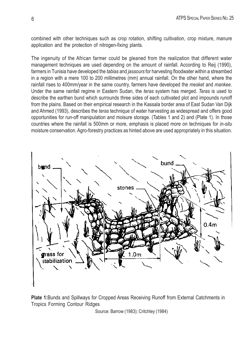combined with other techniques such as crop rotation, shifting cultivation, crop mixture, manure application and the protection of nitrogen-fixing plants.

The ingenuity of the African farmer could be gleaned from the realization that different water management techniques are used depending on the amount of rainfall. According to Reij (1990), farmers in Tunisia have developed the *tabias* and *jassours* for harvesting floodwater within a streambed in a region with a mere 100 to 200 millimetres (mm) annual rainfall. On the other hand, where the rainfall rises to 400mm/year in the same country, farmers have developed the mesket and mankee. Under the same rainfall regime in Eastern Sudan, the teras system has merged. Teras is used to describe the earthen bund which surrounds three sides of each cultivated plot and impounds runoff from the plains. Based on their empirical research in the Kassala border area of East Sudan Van Dijk and Ahmed (1993), describes the teras technique of water harvesting as widespread and offers good opportunities for run-off manipulation and moisure storage. (Tables 1 and 2) and (Plate 1). In those countries where the rainfall is 500mm or more, emphasis is placed more on techniques for in-situ moisture conservation. Agro-forestry practices as hinted above are used appropriately in this situation.



Plate 1:Bunds and Spillways for Cropped Areas Receiving Runoff from External Catchments in Tropics Forming Contour Ridges

Source: Barrow (1983); Critchley (1984)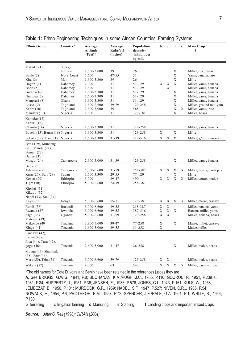| <b>Ethnic Group</b>                                                     | Country*    | Average<br>Altitude<br>$(Fect)^*$ | Average<br>Rainfall<br>(inches) | Population<br>denswity<br>inhabit per<br>sq mile | b           | $\mathbf c$ | d           | $\mathbf e$ | <b>Main Crop</b><br>f    |
|-------------------------------------------------------------------------|-------------|-----------------------------------|---------------------------------|--------------------------------------------------|-------------|-------------|-------------|-------------|--------------------------|
| Malinke $(1)$ $($                                                       | Senegal     |                                   |                                 |                                                  |             |             |             |             |                          |
|                                                                         | Guinea      | 1,600-3,000                       | 39                              | 26                                               |             |             | X           |             | Millet, rice, maize      |
| Baule (2)                                                               | Ivory Coast | 1,600                             | $47 - 55$                       | 51                                               |             |             | X           |             | Yams, banana, taro       |
| Kita $(3)$                                                              | Mali        | 1,600-3,300                       | 39                              | 26                                               |             |             | X           |             | Millet                   |
| Dogon $(4)$                                                             | Dahomey     | 2,000                             | 31                              | 51-129                                           | X           | X           | X           |             | Millet, yams, banana     |
| Bobo $(5)$                                                              | Dahomey     | 1,600                             | 31                              | 51-129                                           |             | X           |             |             | Millet, yams, banana     |
| Gurensi (6)                                                             | Dahomey     | 1,600-3,300                       | 31                              | 51-129                                           |             |             | X           |             | Millet, yams, banana     |
| Nunuma (7)                                                              | Dahomey     | 1,600-3,300                       | 31                              | 51-129                                           |             |             | $\mathbf X$ |             | Millet, yams, banana     |
| Manprusi (8)                                                            | Ghana       | 1,600-3,300                       | 31                              | 51-129                                           |             |             | X           |             | Millet, yams, banana     |
| Losso $(9)$                                                             | Togoland    | 1,600-2,600                       | 39-79                           | 129-258                                          |             |             | X           |             | Millet, ground nut, yam  |
| Kabre (10)                                                              | Togoland    | 2,600-3,000                       | 59                              | 568                                              |             |             | X           | X           | Millet, yams, rice       |
| Mandara (11)                                                            | Nigeria     | 1,600                             | 31                              | 129-181                                          |             |             | $\mathbf X$ |             | Millet, beans            |
| Kamuku (12),                                                            |             |                                   |                                 |                                                  |             |             |             |             |                          |
| Kanuri (13),                                                            |             |                                   |                                 |                                                  |             |             |             |             |                          |
| Chamba (14)                                                             | Nigeria     | 1,600-3,300                       | 31                              | 129-258                                          |             |             |             |             | Millet, yams, banana     |
| Bauchi (15), Berrm (16) Nigeria                                         |             | 1,600-3,300                       | 31                              | 129-258                                          | Х           |             | X           |             | Millet                   |
| Sokoto (17), Kano (18) Nigeria                                          |             | 1,600-3,300                       | 31-39                           | 310-516                                          | X           | X           | X           |             | Millet, g/nut, cassava   |
| Batta (19), Mundang<br>(20), Mandji (21),<br>Bamum (22),<br>Dama (23),  |             |                                   |                                 |                                                  |             |             |             |             |                          |
| Musgu $(24)$                                                            | Cameroons   | 2,600-5,000                       | 31-39                           | 129-258                                          |             |             | Χ           |             | Millet, yams, banana     |
| Bana (25),                                                              |             |                                   |                                 |                                                  |             |             |             |             |                          |
| Adamawa (26)                                                            | Cameroons   | 5,000-6,600                       | 31-59                           | 258-387                                          | X           | Х           | Х           | Χ           | Millet, beans, earth pea |
| Kuru (27), Bari (28)                                                    | Sudan       | 1,600-3,300                       | 29-55                           | 77-129                                           |             |             | X           |             | Millet                   |
| Konso $(29)$                                                            | Ethiopia    | 5,000                             | 39-47                           | 490                                              | X           | X           | X           | X           | Millet, cotton, maize    |
| Tigre $(30)$                                                            | Ethiopia    | 5,000-6,600                       | 24-39                           | 258-387                                          |             |             |             |             |                          |
| Kipsigi (31),<br>Kikuyu (32),<br>Nandi (33), Suk (34),                  |             |                                   |                                 |                                                  |             |             |             |             |                          |
| Keyu (35)                                                               | Kenya       | 5,000-6,600                       | 55-71                           | 129-387                                          | Х           | Х           | Χ           | Х           | Millet, maize, cassava   |
| Rundi (36)                                                              | Burundi     | 5,000-6,600                       | 39-55                           | 258-387                                          | X           | X           |             |             | Millet, banana, yams     |
| Rwanda (37)                                                             | Rwanda      | 5,000-6,600                       | 39-55                           | 387-516                                          | X           | X           | X           |             | Banana, millet, yams     |
| Kiga (38)                                                               | Uganda      | 5,000-6,600                       | 31-59                           | 129-258                                          | Х           | X           |             |             | Millet, banana, beans    |
| Matengo (39),                                                           |             |                                   |                                 |                                                  |             |             |             |             |                          |
| Makonde (40                                                             | Tanzania    | 3,300-5,000                       | 39-47                           | 77-258                                           | X           |             | X           |             | Maize, millet, cassava   |
| Kinga (41)                                                              | Tanzania    | 1,600-5,000                       | 39-55                           | 51-258                                           | Χ           |             |             |             | Maize, millet            |
| Sandawa (42),<br>Iraque $(43)$ ;<br>Fipa $(44)$ ; Turu $(45)$ ;         |             |                                   |                                 |                                                  |             |             |             |             |                          |
| gogo (46)                                                               | Tanzania    | 2,600-5,000                       | 31-47                           | 26-258                                           |             |             | Χ           |             | Millet, maize, beans     |
| Mbugu (47), Shambala<br>$(48)$ , Pare $(49)$ ,<br>Meru (50), Teita (51) | Tanzania    | 5,000-6,600                       | 59-79                           | 129-258                                          | Х           | Х           |             |             | Millet, maize, beans     |
|                                                                         |             |                                   |                                 |                                                  |             |             |             |             |                          |
| Wakara (52)                                                             | Tanzania    | 4,000                             | 63                              | 542                                              | $\mathbf x$ | X           | X           | X           | Millet, cassava, rice    |

|  |  |  | Table 1: Ethno-Engineering Techniques in some African Countries' Farming Systems |  |  |
|--|--|--|----------------------------------------------------------------------------------|--|--|
|  |  |  |                                                                                  |  |  |

\*The old names for Cote D'Ivoire and Benin have been retained in the references just as they are

A. See BRIGGS, G.W.G., 1941, P.8; BUCHANAN, K.M./PUGH, J.C., 1955, P.110; GOUROU, P., 1951, P.239 a. 1961, P.84; HUPPERTZ, J., 1951, P.36; JENSEN, E., 1936, P.576; JONES, G.L. 1943, P.161; KULS, W., 1958; LEMBEZAT, B., 1950, P.101; MURDOCK, G.P., 1959; NADEL, S.F., 1947, P.527; NIVEN, C.R.., 1935, P.54; NOWACK, E., 1954, P.6; PROTHEOR, E.M., 1957, P.72; SPENCER, J.E./HALE, G.A. 1961, P.1; WHITE, S., 1944, P.130.<br>**b** Terracing

c Irrigation farming d Manuring e Stabling f Leading crops and important mixed crops

Source: After C. Reij (1990); CIRAN (2004)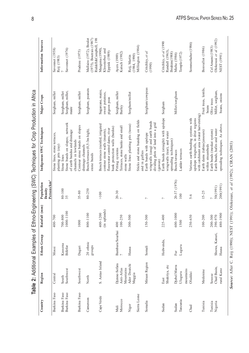|                    |                                     |                         |                                |                                                  | <b>BALLA LE LE LE LA DE LA DE LA DE LA DESCRIPCIÓN DE LA DEL DE LA DEL LA DEL LA DE LA DE LA DE LA DE LA DE LA DE</b> |                                                  |                                                                                  |
|--------------------|-------------------------------------|-------------------------|--------------------------------|--------------------------------------------------|-----------------------------------------------------------------------------------------------------------------------|--------------------------------------------------|----------------------------------------------------------------------------------|
| Country            | Region                              | <b>Ethnic Group</b>     | Rainfall (mm)                  | Persons/km <sup>2</sup><br>Population<br>Density | Indigenous SWC Techniques                                                                                             | Major Crops                                      | Information Sources                                                              |
| Burkina Faso       | Central                             | Mossi                   | 400-700                        |                                                  | Stone lines, stone terraces,<br>planting pits (zay)                                                                   | Sorghum, millet                                  | Savonnet (1958)<br>Reij (1983)                                                   |
| Burkina Faso       | South                               | Kassena                 | 700-800                        | $80 - 100$<br>35                                 | Stone lines                                                                                                           | Sorghum, millet                                  |                                                                                  |
| Burkina Faso       | Southwest                           | Bifirfor                | 1000-1100                      |                                                  | Stone bunds on slopes; network<br>of earth bandsa and drainage<br>channels in lowlands                                | Sorghum, millet,<br>maize                        | Savonnet (1976)                                                                  |
| Burkina Faso       | Southwest                           | Dagari                  | 1000                           | $35 - 80$                                        | Contour stone bunds on slopes<br>drainage channels                                                                    | Sorghum, millet                                  | Pradeau (1975)                                                                   |
| Cameroon           | North                               | 20 ethnic<br>groups     | 800-1100                       | 80-250                                           | Bench terraces (0,5-3m high).<br>stone bunds                                                                          | Sorghum, peanuts                                 | $(1975)$ , Boutrais $(1987)$<br>Riddell&Campbell, 198<br>Mallaire (1972), Boulet |
| Cape Verde         | S. Antao Island                     |                         | (in uplands)<br>400-1200       | $>100$                                           | Bench terraces (rainfed, irrigated<br>contour stone walls (murets),                                                   | Sugarcane, maize,<br>sweet potatoes,             | Kloosterber and<br>Maagsma (1990)                                                |
|                    |                                     |                         |                                |                                                  | bank protection walls (bardos)<br>flooewater control dams, river                                                      | pigeon peas                                      | Eppink (1989)                                                                    |
| Morocco<br>Mali    | Djenne-Sofara<br>Anti-Atlas         | Bambara/Sourhai         | 100-250<br>400                 | $\frac{20-30}{?}$                                | Terraces, stone banks and small<br>Pitting systems                                                                    | Sorghum, millet<br>Barley                        | Kutsch (1982)<br>Ayers (1989)                                                    |
|                    | Mountains                           |                         |                                |                                                  | stone walls                                                                                                           |                                                  |                                                                                  |
| Niger              | Ader Doutchi<br>Maggia              | Hausa                   | 300-500                        |                                                  | Stone lines planting pits (tassa)                                                                                     | Sorghum/millet                                   | (1984, 1990)<br>Reij, Martin                                                     |
| Sierra Leone       |                                     |                         |                                |                                                  | Sticks and stone bunding on fields<br>and in gullies                                                                  |                                                  | Millington (1984)                                                                |
| Somalia            | Miraan Region                       | Somali                  | 150-300                        | $\sim$                                           | wingwalls (caug) and earth bunds<br>dividing plots of land into a grid<br>Earth bunds with upslope<br>gawan)          | Sorghum/cowpeas                                  | Critchley, et al<br>(1990)                                                       |
| Sudan              | Shukriya, etc<br>East               | Hedwenda,               | $225 - 400$                    | $\sim$                                           | Earth bunds (straight) with upslope<br>wingwalls (tear), and water<br>spreading techniques)                           | Sorghum                                          | Critchley, et al (1990<br>Randall (1963),<br>Ibrahim(1988)                       |
| Sudan              | Djebel Marra                        | Fur                     | 600-1000                       | 20-37 (1976)                                     | Bench terraces                                                                                                        | Millet/sorghum                                   | Miehe (1986)                                                                     |
| Tanzania           | Uluguru                             | Luguru                  | 1500                           | 100                                              | Ladder terraces                                                                                                       |                                                  | Temple (1972)                                                                    |
| Chad               | mountains<br>Oluddai                |                         | 250-650                        | $5 - 6$                                          | with catchment area (water harvetsting)<br>Various earth-bunding systems with<br>upslope wingwalls, in drier regions  |                                                  | Sommerhalter (1986)                                                              |
| Tunisia            | Medenine                            |                         | 100-200                        | $15 - 25$                                        | Earth dams (tabias/jessours)<br>within streambeds                                                                     | Fruit trees, lentils,<br>beans                   | Bonvallot (1986)                                                                 |
| Tunisia<br>Nigeria | Chad Basin,<br>rural Kano<br>Sousse | Shuwa, Kanuri,<br>Hausa | 480-1900<br>390-970<br>200-300 | 200(1991)<br>50(1991)                            | spreading techniques. As above.<br>Earth bunds, hafirs and water<br>Earth bunds (meskat system)                       | Millet, sorghum,<br>beans, onions<br>Olive trees | Olokesusi et al (1992)<br>Cel Amami (1983)<br>NEST (1991)                        |

Table 2: Additional Examples of Ethno-Engineering (SWC) Techniques for Crop Production in Africa Table 2: Additional Examples of Ethno-Engineering (SWC) Techniques for Crop Production in Africa

8

Source: After C. Reij (1990); NEST (1991); Olokesusi, et al (1992); CIRAN (2003) Source: After C. Reij (1990); NEST (1991); Olokesusi, et al (1992); CIRAN (2003)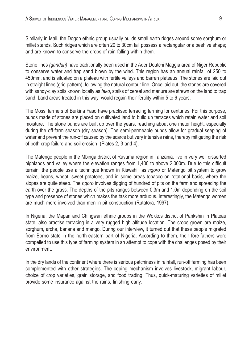Similarly in Mali, the Dogon ethnic group usually builds small earth ridges around some sorghum or millet stands. Such ridges which are often 20 to 30cm tall possess a rectangular or a beehive shape; and are known to conserve the drops of rain falling within them.

Stone lines (gandari) have traditionally been used in the Ader Doutchi Maggia area of Niger Republic to conserve water and trap sand blown by the wind. This region has an annual rainfall of 250 to 450mm, and is situated on a plateau with fertile valleys and barren plateaus. The stones are laid out in straight lines (grid pattern), following the natural contour line. Once laid out, the stones are covered with sandy-clay soils known locally as fako, stalks of cereal and manure are strewn on the land to trap sand. Land areas treated in this way, would regain their fertility within 5 to 6 years.

The Mossi farmers of Burkina Faso have practised terracing farming for centuries. For this purpose, bunds made of stones are placed on cultivated land to build up terraces which retain water and soil moisture. The stone bunds are built up over the years, reaching about one meter height, especially during the off-farm season (dry season). The semi-permeable bunds allow for gradual seeping of water and prevent the run-off caused by the scarce but very intensive rains, thereby mitigating the risk of both crop failure and soil erosion (Plates 2, 3 and 4).

The Matengo people in the Mbinga district of Ruvuma region in Tanzania, live in very well disserted highlands and valley where the elevation ranges from 1,400 to above 2,000m. Due to this difficult terrain, the people use a technique known in Kiswahili as ngoro or Matengo pit system to grow maize, beans, wheat, sweet potatoes, and in some areas tobacco on rotational basis, where the slopes are quite steep. The *ngoro* involves digging of hundred of pits on the farm and spreading the earth over the grass. The depths of the pits ranges between 0.3m and 1.0m depending on the soil type and presence of stones which makes the task more arduous. Interestingly, the Matengo women are much more involved than men in pit construction (Rutatora, 1997).

In Nigeria, the Mapan and Chingwan ethnic groups in the Wokkos district of Pankshin in Plateau state, also practise terracing in a very rugged high altitude location. The crops grown are maize, sorghum, archa, banana and mango. During our interview, it turned out that these people migrated from Borno state in the north-eastern part of Nigeria. According to them, their fore-fathers were compelled to use this type of farming system in an attempt to cope with the challenges posed by their environment.

In the dry lands of the continent where there is serious patchiness in rainfall, run-off farming has been complemented with other strategies. The coping mechanism involves livestock, migrant labour, choice of crop varieties, grain storage, and food trading. Thus, quick-maturing varieties of millet provide some insurance against the rains, finishing early.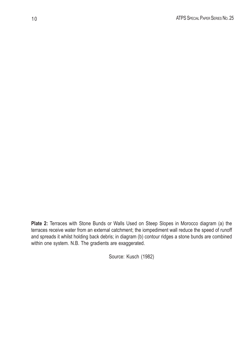Plate 2: Terraces with Stone Bunds or Walls Used on Steep Slopes in Morocco diagram (a) the terraces receive water from an external catchment; the iompediment wall reduce the speed of runoff and spreads it whilst holding back debris; in diagram (b) contour ridges a stone bunds are combined within one system. N.B. The gradients are exaggerated.

Source: Kusch (1982)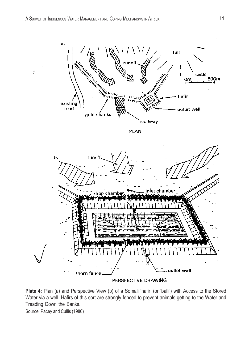

Plate 4: Plan (a) and Perspective View (b) of a Somali 'hafir' (or 'balli') with Access to the Stored Water via a well. Hafirs of this sort are strongly fenced to prevent animals getting to the Water and Treading Down the Banks.

Source: Pacey and Cullis (1986)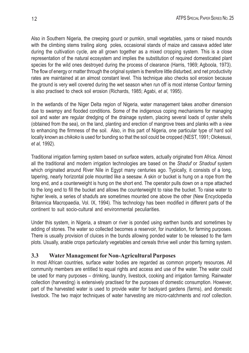Also in Southern Nigeria, the creeping gourd or pumkin, small vegetables, yams or raised mounds with the climbing stems trailing along poles, occasional stands of maize and cassava added later during the cultivation cycle, are all grown together as a mixed cropping system. This is a close representation of the natural ecosystem and implies the substitution of required domesticated plant species for the wild ones destroyed during the process of clearance (Harris, 1969; Agboola, 1973). The flow of energy or matter through the original system is therefore little disturbed, and net productivity rates are maintained at an almost constant level. This technique also checks soil erosion because the ground is very well covered during the wet season when run off is most intense Contour farming is also practised to check soil erosion (Richards, 1985; Agabi, et al, 1995).

In the wetlands of the Niger Delta region of Nigeria, water management takes another dimension due to swampy and flooded conditions. Some of the indigenous coping mechanisms for managing soil and water are regular dredging of the drainage system, placing several loads of oyster shells (obtained from the sea), on the land, planting and erection of mangrove trees and planks with a view to enhancing the firmness of the soil. Also, in this part of Nigeria, one particular type of hard soil locally known as chikoko is used for bunding so that the soil could be cropped (NEST, 1991; Olokesusi, et al, 1992).

Traditional irrigation farming system based on surface waters, actually originated from Africa. Almost all the traditional and modern irrigation technologies are based on the Shaduf or Shadouf system which originated around River Nile in Egypt many centuries ago. Typically, it consists of a long, tapering, nearly horizontal pole mounted like a seesaw. A skin or bucket is hung on a rope from the long end, and a counterweight is hung on the short end. The operator pulls down on a rope attached to the long end to fill the bucket and allows the counterweight to raise the bucket. To raise water to higher levels, a series of shadufs are sometimes mounted one above the other (New Encyclopedia Britannica Macropaedia, Vol. IX, 1994). This technology has been modified in different parts of the continent to suit socio-cultural and environmental peculiarities.

Under this system, in Nigeria, a stream or river is ponded using earthen bunds and sometimes by adding of stones. The water so collected becomes a reservoir, for inundation, for farming purposes. There is usually provision of cluices in the bunds allowing ponded water to be released to the farm plots. Usually, arable crops particularly vegetables and cereals thrive well under this farming system.

### 3.3 Water Management for Non-Agricultural Purposes

In most African countries, surface water bodies are regarded as common property resources. All community members are entitled to equal rights and access and use of the water. The water could be used for many purposes – drinking, laundry, livestock, cooking and irrigation farming. Rainwater collection (harvesting) is extensively practised for the purposes of domestic consumption. However, part of the harvested water is used to provide water for backyard gardens (farms), and domestic livestock. The two major techniques of water harvesting are micro-catchments and roof collection.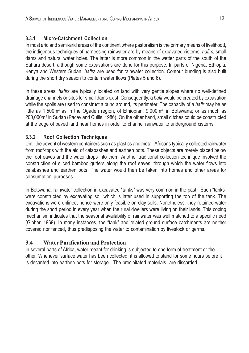### 3.3.1 Micro-Catchment Collection

In most arid and semi-arid areas of the continent where pastoralism is the primary means of livelihood, the indigenous techniques of harnessing rainwater are by means of excavated cisterns, hafirs, small dams and natural water holes. The latter is more common in the wetter parts of the south of the Sahara desert, although some excavations are done for this purpose. In parts of Nigeria, Ethiopia, Kenya and Western Sudan, hafirs are used for rainwater collection. Contour bunding is also built during the short dry season to contain water flows (Plates 5 and 6).

In these areas, hafirs are typically located on land with very gentle slopes where no well-defined drainage channels or sites for small dams exist. Consequently, a hafir would be created by excavation while the spoils are used to construct a bund around, its perimeter. The capacity of a *hafir* may be as little as 1,500m<sup>3</sup> as in the Ogaden region, of Ethiopian, 9,000m<sup>3</sup> in Botswana; or as much as 200,000m<sup>3</sup> in Sudan (Pacey and Cullis, 1986). On the other hand, small ditches could be constructed at the edge of paved land near homes in order to channel rainwater to underground cisterns.

### 3.3.2 Roof Collection Techniques

Until the advent of western containers such as plastics and metal, Africans typically collected rainwater from roof-tops with the aid of calabashes and earthen pots. These objects are merely placed below the roof eaves and the water drops into them. Another traditional collection technique involved the construction of sliced bamboo gutters along the roof eaves, through which the water flows into calabashes and earthen pots. The water would then be taken into homes and other areas for consumption purposes.

In Botswana, rainwater collection in excavated "tanks" was very common in the past. Such "tanks" were constructed by excavating soil which is later used in supporting the top of the tank. The excavations were unlined, hence were only feasible on clay soils. Nonetheless, they retained water during the short period in every year when the rural dwellers were living on their lands. This coping mechanism indicates that the seasonal availability of rainwater was well matched to a specific need (Gibber, 1969). In many instances, the "tank" and related ground surface catchments are neither covered nor fenced, thus predisposing the water to contamination by livestock or germs.

### 3.4 Water Purification and Protection

In several parts of Africa, water meant for drinking is subjected to one form of treatment or the other. Whenever surface water has been collected, it is allowed to stand for some hours before it is decanted into earthen pots for storage. The precipitated materials are discarded.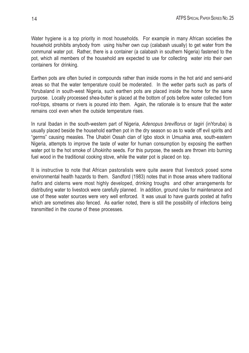Water hygiene is a top priority in most households. For example in many African societies the household prohibits anybody from using his/her own cup (calabash usually) to get water from the communal water pot. Rather, there is a container (a calabash in southern Nigeria) fastened to the pot, which all members of the household are expected to use for collecting water into their own containers for drinking.

Earthen pots are often buried in compounds rather than inside rooms in the hot arid and semi-arid areas so that the water temperature could be moderated. In the wetter parts such as parts of Yorubaland in south-west Nigeria, such earthen pots are placed inside the home for the same purpose. Locally processed shea-butter is placed at the bottom of pots before water collected from roof-tops, streams or rivers is poured into them. Again, the rationale is to ensure that the water remains cool even when the outside temperature rises.

In rural Ibadan in the south-western part of Nigeria, Adenopus breviflorus or tagiri (inYoruba) is usually placed beside the household earthen pot in the dry season so as to wade off evil spirits and "germs" causing measles. The Uhabiri Ossah clan of Igbo stock in Umuahia area, south-eastern Nigeria, attempts to improve the taste of water for human consumption by exposing the earthen water pot to the hot smoke of Uhokiriho seeds. For this purpose, the seeds are thrown into burning fuel wood in the traditional cooking stove, while the water pot is placed on top.

It is instructive to note that African pastoralists were quite aware that livestock posed some environmental health hazards to them. Sandford (1983) notes that in those areas where traditional hafirs and cisterns were most highly developed, drinking troughs and other arrangements for distributing water to livestock were carefully planned. In addition, ground rules for maintenance and use of these water sources were very well enforced. It was usual to have guards posted at hafirs which are sometimes also fenced. As earlier noted, there is still the possibility of infections being transmitted in the course of these processes.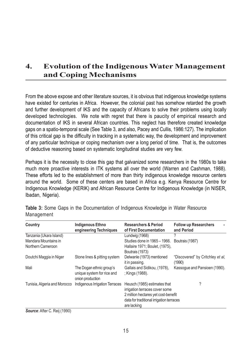### 4. Evolution of the Indigenous Water Management and Coping Mechanisms

From the above expose and other literature sources, it is obvious that indigenous knowledge systems have existed for centuries in Africa. However, the colonial past has somehow retarded the growth and further development of IKS and the capacity of Africans to solve their problems using locally developed technologies. We note with regret that there is paucity of empirical research and documentation of IKS in several African countries. This neglect has therefore created knowledge gaps on a spatio-temporal scale (See Table 3, and also, Pacey and Cullis, 1986:127). The implication of this critical gap is the difficulty in tracking in a systematic way, the development and improvement of any particular technique or coping mechanism over a long period of time. That is, the outcomes of deductive reasoning based on systematic longitudinal studies are very few.

Perhaps it is the necessity to close this gap that galvanized some researchers in the 1980s to take much more proactive interests in ITK systems all over the world (Warren and Cashman, 1988). These efforts led to the establishment of more than thirty indigenous knowledge resource centers around the world. Some of these centers are based in Africa e.g. Kenya Resource Centre for Indigenous Knowledge (KERIK) and African Resource Centre for Indigenous Knowledge (in NISER, Ibadan, Nigeria).

| Country                      | <b>Indigenous Ethno</b><br>engineering Techniques                          | <b>Researchers &amp; Period</b><br>of First Documentation      | <b>Follow up Researchers</b><br>and Period |
|------------------------------|----------------------------------------------------------------------------|----------------------------------------------------------------|--------------------------------------------|
| Tanzania (Ukara Island)      |                                                                            | Lundwig (1968)                                                 |                                            |
| Mandara Mountains in         |                                                                            | Studies done in 1965 - 1966.                                   | Boutrais (1987)                            |
| Northern Cameroon            |                                                                            | Hallaire 1971; Boulet, (1975),                                 |                                            |
|                              |                                                                            | Boutrais (1973)                                                |                                            |
| Doutchi Maggia in Niger      | Stone lines & pitting system                                               | Delwanle (1973) mentioned<br>it in passing.                    | "Discovered" by Critchley et al,<br>(1990) |
| Mali                         | The Dogan ethnic group's<br>unique system for rice and<br>onion production | Gallais and Sidikou, (1978).<br>: Kings (1988).                | Kassoque and Pansioen (1990).              |
| Tunisia, Algeria and Morocco | Indigenous Irrigation Terraces                                             | Heusch (1985) estimates that<br>irrigation terraces cover some | ?                                          |
|                              |                                                                            | 2 million hectares yet cost-benefit                            |                                            |
|                              |                                                                            | data for traditional irrigation terraces<br>are lacking        |                                            |

Table 3: Some Gaps in the Documentation of Indigenous Knowledge in Water Resource Management

Source: After C. Reij (1990)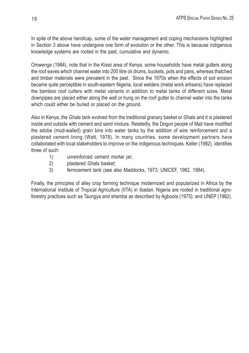In spite of the above handicap, some of the water management and coping mechanisms highlighted in Section 3 above have undergone one form of evolution or the other. This is because indigenous knowledge systems are rooted in the past, cumulative and dynamic.

Omwenga (1984), note that in the Kissii area of Kenya, some households have metal gutters along the roof eaves which channel water into 200 litre oil drums, buckets, pots and pans, whereas thatched and timber materials were prevalent in the past. Since the 1970s when the effects of soil erosion became quite perceptible in south-eastern Nigeria, local welders (metal work artisans) have replaced the bamboo roof cutters with metal variants in addition to metal tanks of different sizes. Metal downpipes are placed either along the wall or hung on the roof gutter to channel water into the tanks which could either be buried or placed on the ground.

Also in Kenya, the Ghala tank evolved from the traditional granary basket or Ghala and it is plastered inside and outside with cement and sand mixture. Relatedly, the Dogon people of Mali have modified the adobe (mud-walled) grain bins into water tanks by the addition of wire reinforcement and a plastered cement lining (Watt, 1978). In many countries, some development partners have collaborated with local stakeholders to improve on the indigenous techniques. Keller (1982), identifies three of such:

- 1) unreinforced cement mortar jar;
- 2) plastered Ghala basket;
- 3) ferrocement tank (see also Maddocks, 1973; UNICEF, 1982, 1984).

Finally, the principles of alley crop farming technique modernized and popularized in Africa by the International Institute of Tropical Agriculture (IITA) in Ibadan, Nigeria are rooted in traditional agroforestry practices such as Taungya and shamba as described by Agboola (1975); and UNEP (1982).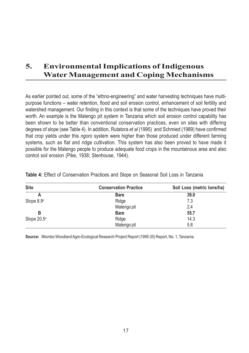# 5. Environmental Implications of Indigenous Water Management and Coping Mechanisms

As earlier pointed out, some of the "ethno-engineering" and water harvesting techniques have multipurpose functions – water retention, flood and soil erosion control, enhancement of soil fertility and watershed management. Our finding in this context is that some of the techniques have proved their worth. An example is the Matengo pit system in Tanzania which soil erosion control capability has been shown to be better than conventional conservation practices, even on sites with differing degrees of slope (see Table 4). In addition, Rutatora et al (1995) and Schmied (1989) have confirmed that crop yields under this ngoro system were higher than those produced under different farming systems, such as flat and ridge cultivation. This system has also been proved to have made it possible for the Matengo people to produce adequate food crops in the mountainous area and also control soil erosion (Pike, 1938; Stenhouse, 1944).

| <b>Site</b>       | <b>Conservation Practice</b> | Soil Loss (metric tons/ha) |
|-------------------|------------------------------|----------------------------|
|                   | <b>Bare</b>                  | 39.0                       |
| Slope $8.9^\circ$ | Ridge                        | 7.3                        |
|                   | Matengo pit                  | 2.4                        |
| B                 | <b>Bare</b>                  | 55.7                       |
| Slope 20.5°       | Ridge                        | 14.3                       |
|                   | Matengo pit                  | 5.8                        |

Table 4: Effect of Conservation Practices and Slope on Seasonal Soil Loss in Tanzania

Source: Miombo Woodland Agro-Ecological Research Project Report (1995:35) Report, No. 1, Tanzania.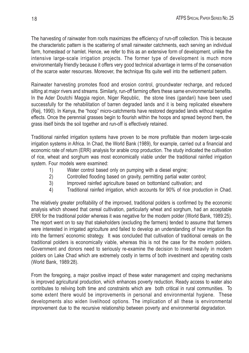The harvesting of rainwater from roofs maximizes the efficiency of run-off collection. This is because the characteristic pattern is the scattering of small rainwater catchments, each serving an individual farm, homestead or hamlet. Hence, we refer to this as an extensive form of development, unlike the intensive large-scale irrigation projects. The former type of development is much more environmentally friendly because it offers very good technical advantage in terms of the conservation of the scarce water resources. Moreover, the technique fits quite well into the settlement pattern.

Rainwater harvesting promotes flood and erosion control, groundwater recharge, and reduced silting at major rivers and streams. Similarly, run-off farming offers these same environmental benefits. In the Ader Doutchi Maggia region, Niger Republic, the stone lines (gandari) have been used successfully for the rehabilitation of barren degraded lands and it is being replicated elsewhere (Reij, 1990). In Kenya, the "hoop" micro-catchments have restored degraded lands without negative effects. Once the perennial grasses begin to flourish within the hoops and spread beyond them, the grass itself binds the soil together and run-off is effectively retained.

Traditional rainfed irrigation systems have proven to be more profitable than modern large-scale irrigation systems in Africa. In Chad, the World Bank (1989), for example, carried out a financial and economic rate of return (ERR) analysis for arable crop production. The study indicated the cultivation of rice, wheat and sorghum was most economically viable under the traditional rainfed irrigation system. Four models were examined:

- 1) Water control based only on pumping with a diesel engine;
- 2) Controlled flooding based on gravity, permitting partial water control;
- 3) Improved rainfed agriculture based on bottomland cultivation; and
- 4) Traditional rainfed irrigation, which accounts for 90% of rice production in Chad.

The relatively greater profitability of the improved, traditional polders is confirmed by the economic analysis which showed that cereal cultivation, particularly wheat and sorghum, had an acceptable ERR for the traditional polder whereas it was negative for the modern polder (World Bank, 1989:25). The report went on to say that stakeholders (excluding the farmers) tended to assume that farmers were interested in irrigated agriculture and failed to develop an understanding of how irrigation fits into the farmers' economic strategy. It was concluded that cultivation of traditional cereals on the traditional polders is economically viable, whereas this is not the case for the modern polders. Government and donors need to seriously re-examine the decision to invest heavily in modern polders on Lake Chad which are extremely costly in terms of both investment and operating costs (World Bank, 1989:28).

From the foregoing, a major positive impact of these water management and coping mechanisms is improved agricultural production, which enhances poverty reduction. Ready access to water also contributes to reliving both time and constraints which are both critical in rural communities. To some extent there would be improvements in personal and environmental hygiene. These developments also widen livelihood options. The implication of all these is environmental improvement due to the recursive relationship between poverty and environmental degradation.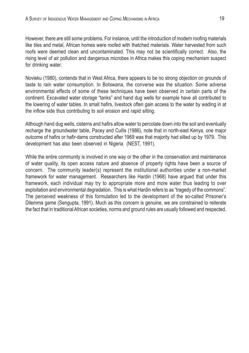However, there are still some problems. For instance, until the introduction of modern roofing materials like tiles and metal, African homes were roofed with thatched materials. Water harvested from such roofs were deemed clean and uncontaminated. This may not be scientifically correct. Also, the rising level of air pollution and dangerous microbes in Africa makes this coping mechanism suspect for drinking water.

Novieku (1980), contends that in West Africa, there appears to be no strong objection on grounds of taste to rain water consumption. In Botswana, the converse was the situation. Some adverse environmental effects of some of these techniques have been observed in certain parts of the continent. Excavated water storage "tanks" and hand dug wells for example have all contributed to the lowering of water tables. In small hafirs, livestock often gain access to the water by wading in at the inflow side thus contributing to soil erosion and rapid silting.

Although hand dug wells, cisterns and hafirs allow water to percolate down into the soil and eventually recharge the groundwater table, Pacey and Cullis (1986), note that in north-east Kenya, one major outcome of hafirs or hafir-dams constructed after 1969 was that majority had silted up by 1979. This development has also been observed in Nigeria (NEST, 1991).

While the entire community is involved in one way or the other in the conservation and maintenance of water quality, its open access nature and absence of property rights have been a source of concern. The community leader(s) represent the institutional authorities under a non-market framework for water management. Researchers like Hardin (1968) have argued that under this framework, each individual may try to appropriate more and more water thus leading to over exploitation and environmental degradation. This is what Hardin refers to as "tragedy of the commons". The perceived weakness of this formulation led to the development of the so-called Prisoner's Dilemma game (Sengupta, 1991). Much as this concern is genuine, we are constrained to reiterate the fact that in traditional African societies, norms and ground rules are usually followed and respected.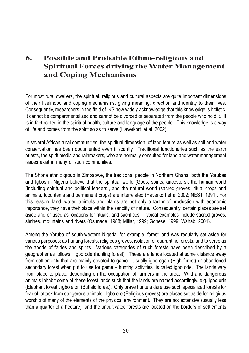# 6. Possible and Probable Ethno-religious and Spiritual Forces driving the Water Management and Coping Mechanisms

For most rural dwellers, the spiritual, religious and cultural aspects are quite important dimensions of their livelihood and coping mechanisms, giving meaning, direction and identity to their lives. Consequently, researchers in the field of IKS now widely acknowledge that this knowledge is holistic. It cannot be compartmentalized and cannot be divorced or separated from the people who hold it. It is in fact rooted in the spiritual health, culture and language of the people. This knowledge is a way of life and comes from the spirit so as to serve (Haverkort et al, 2002).

In several African rural communities, the spiritual dimension of land tenure as well as soil and water conservation has been documented even if scantly. Traditional functionaries such as the earth priests, the spirit media and rainmakers, who are normally consulted for land and water management issues exist in many of such communities.

The Shona ethnic group in Zimbabwe, the traditional people in Northern Ghana, both the Yorubas and Igbos in Nigeria believe that the spiritual world (Gods, spirits, ancestors), the human world (including spiritual and political leaders), and the natural world (sacred groves, ritual crops and animals, food items and permanent crops) are interrelated (Haverkort et al 2002; NEST, 1991). For this reason, land, water, animals and plants are not only a factor of production with economic importance, they have their place within the sanctity of nature. Consequently, certain places are set aside and or used as locations for rituals, and sacrifices. Typical examples include sacred groves, shrines, mountains and rivers (Osunade, 1988; Millar, 1999; Gonese; 1999; Wahab, 2004).

Among the Yoruba of south-western Nigeria, for example, forest land was regularly set aside for various purposes; as hunting forests, religious groves, isolation or quarantine forests, and to serve as the abode of fairies and spirits. Various categories of such forests have been described by a geographer as follows: Igbo ode (hunting forest). These are lands located at some distance away from settlements that are mainly devoted to game. Usually igbo egan (High forest) or abandoned secondary forest when put to use for game – hunting activities is called igbo ode. The lands vary from place to place, depending on the occupation of farmers in the area. Wild and dangerous animals inhabit some of these forest lands such that the lands are named accordingly, e.g. Igbo erin (Elephant forest), igbo efon (Buffalo forest). Only brave hunters dare use such specialized forests for fear of attack from dangerous animals. Igbo oro (Religious groves) are places set aside for religious worship of many of the elements of the physical environment. They are not extensive (usually less than a quarter of a hectare) and the uncultivated forests are located on the borders of settlements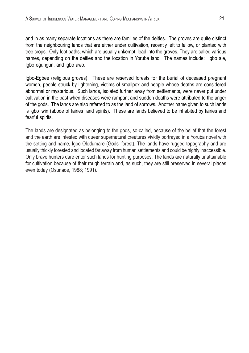and in as many separate locations as there are families of the deities. The groves are quite distinct from the neighbouring lands that are either under cultivation, recently left to fallow, or planted with tree crops. Only foot paths, which are usually unkempt, lead into the groves. They are called various names, depending on the deities and the location in Yoruba land. The names include: Igbo ale, Igbo egungun, and igbo awo.

Igbo-Egbee (religious groves): These are reserved forests for the burial of deceased pregnant women, people struck by lightening, victims of smallpox and people whose deaths are considered abnormal or mysterious. Such lands, isolated further away from settlements, were never put under cultivation in the past when diseases were rampant and sudden deaths were attributed to the anger of the gods. The lands are also referred to as the land of sorrows. Another name given to such lands is igbo iwin (abode of fairies and spirits). These are lands believed to be inhabited by fairies and fearful spirits.

The lands are designated as belonging to the gods, so-called, because of the belief that the forest and the earth are infested with queer supernatural creatures vividly portrayed in a Yoruba novel with the setting and name, Igbo Olodumare (Gods' forest). The lands have rugged topography and are usually thickly forested and located far away from human settlements and could be highly inaccessible. Only brave hunters dare enter such lands for hunting purposes. The lands are naturally unattainable for cultivation because of their rough terrain and, as such, they are still preserved in several places even today (Osunade, 1988; 1991).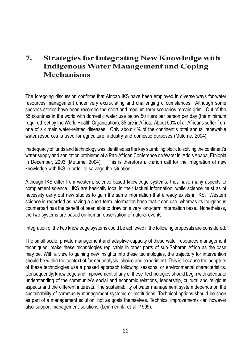## 7. Strategies for Integrating New Knowledge with Indigenous Water Management and Coping Mechanisms

The foregoing discussion confirms that African IKS have been employed in diverse ways for water resources management under very excruciating and challenging circumstances. Although some success stories have been recorded the short and medium term scenarios remain grim. Out of the 55 countries in the world with domestic water use below 50 liters per person per day (the minimum required set by the World Health Organization), 35 are in Africa. About 50% of all Africans suffer from one of six main water-related diseases. Only about 4% of the continent's total annual renewable water resources is used for agriculture, industry and domestic purposes (Mutume, 2004).

Inadequacy of funds and technology was identified as the key stumbling block to solving the continent's water supply and sanitation problems at a Pan-African Conference on Water in Addis Ababa, Ethiopia in December, 2003 (Mutume, 2004). This is therefore a clarion call for the integration of new knowledge with IKS in order to salvage the situation.

Although IKS differ from western, science-based knowledge systems, they have many aspects to complement science. IKS are basically local in their factual information, while science must as of necessity carry out new studies to gain the same information that already exists in IKS. Western science is regarded as having a short-term information base that it can use, whereas its indigenous counterpart has the benefit of been able to draw on a very long-term information base. Nonetheless, the two systems are based on human observation of natural events.

Integration of the two knowledge systems could be achieved if the following proposals are considered:

The small scale, private management and adaptive capacity of these water resources management techniques, make these technologies replicable in other parts of sub-Saharan Africa as the case may be. With a view to gaining new insights into these technologies, the trajectory for intervention should be within the context of farmer analysis, choice and experiment. This is because the adopters of these technologies use a phased approach following seasonal or environmental characteristics. Consequently, knowledge and improvement of any of these technologies should begin with adequate understanding of the community's social and economic relations, leadership, cultural and religious aspects and the different interests. The sustainability of water management system depends on the sustainability of community management systems or institutions. Technical options should be seen as part of a management solution, not as goals themselves. Technical improvements can however also support management solutions (Lemmerink, et al, 1999).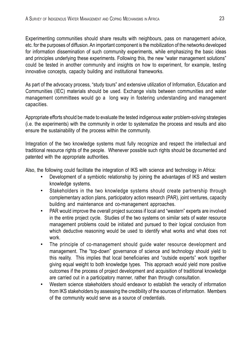Experimenting communities should share results with neighbours, pass on management advice, etc. for the purposes of diffusion. An important component is the mobilization of the networks developed for information dissemination of such community experiments, while emphasizing the basic ideas and principles underlying these experiments. Following this, the new "water management solutions" could be tested in another community and insights on how to experiment, for example, testing innovative concepts, capacity building and institutional frameworks.

As part of the advocacy process, "study tours" and extensive utilization of Information, Education and Communities (IEC) materials should be used. Exchange visits between communities and water management committees would go a long way in fostering understanding and management capacities.

Appropriate efforts should be made to evaluate the tested indigenous water problem-solving strategies (i.e. the experiments) with the community in order to systematize the process and results and also ensure the sustainability of the process within the community.

Integration of the two knowledge systems must fully recognize and respect the intellectual and traditional resource rights of the people. Whenever possible such rights should be documented and patented with the appropriate authorities.

Also, the following could facilitate the integration of IKS with science and technology in Africa:

- Development of a symbiotic relationship by joining the advantages of IKS and western knowledge systems.
- Stakeholders in the two knowledge systems should create partnership through complementary action plans, participatory action research (PAR), joint ventures, capacity building and maintenance and co-management approaches.
- PAR would improve the overall project success if local and "western" experts are involved in the entire project cycle. Studies of the two systems on similar sets of water resource management problems could be initiated and pursued to their logical conclusion from which deductive reasoning would be used to identify what works and what does not work.
- The principle of co-management should guide water resource development and management. The "top-down" governance of science and technology should yield to this reality. This implies that local beneficiaries and "outside experts" work together giving equal weight to both knowledge types. This approach would yield more positive outcomes if the process of project development and acquisition of traditional knowledge are carried out in a participatory manner, rather than through consultation.
- Western science stakeholders should endeavor to establish the veracity of information from IKS stakeholders by assessing the credibility of the sources of information. Members of the community would serve as a source of credentials.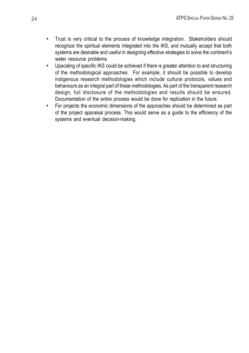- Trust is very critical to the process of knowledge integration. Stakeholders should recognize the spiritual elements integrated into the IKS, and mutually accept that both systems are desirable and useful in designing effective strategies to solve the continent's water resource problems.
- Upscaling of specific IKS could be achieved if there is greater attention to and structuring of the methodological approaches. For example, it should be possible to develop indigenous research methodologies which include cultural protocols, values and behaviours as an integral part of these methodologies. As part of the transparent research design, full disclosure of the methodologies and results should be ensured. Documentation of the entire process would be done for replication in the future.
- For projects the economic dimensions of the approaches should be determined as part of the project appraisal process. This would serve as a guide to the efficiency of the systems and eventual decision-making.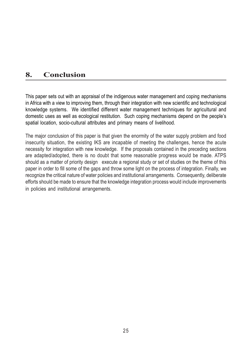### 8. Conclusion

This paper sets out with an appraisal of the indigenous water management and coping mechanisms in Africa with a view to improving them, through their integration with new scientific and technological knowledge systems. We identified different water management techniques for agricultural and domestic uses as well as ecological restitution. Such coping mechanisms depend on the people's spatial location, socio-cultural attributes and primary means of livelihood.

The major conclusion of this paper is that given the enormity of the water supply problem and food insecurity situation, the existing IKS are incapable of meeting the challenges, hence the acute necessity for integration with new knowledge. If the proposals contained in the preceding sections are adapted/adopted, there is no doubt that some reasonable progress would be made. ATPS should as a matter of priority design execute a regional study or set of studies on the theme of this paper in order to fill some of the gaps and throw some light on the process of integration. Finally, we recognize the critical nature of water policies and institutional arrangements. Consequently, deliberate efforts should be made to ensure that the knowledge integration process would include improvements in policies and institutional arrangements.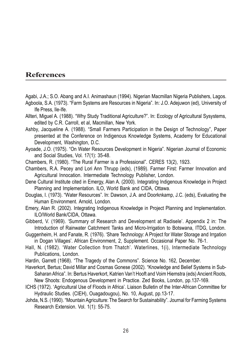### **References**

- Agabi, J.A.; S.O. Abang and A.I. Animashaun (1994). Nigerian Macmillan Nigeria Publishers, Lagos.
- Agboola, S.A. (1973). "Farm Systems are Resources in Nigeria". In: J.O. Adejuwon (ed), University of Ife Press, Ile-Ife.
- Allteri, Miguel A. (1988). "Why Study Traditional Agriculture?". In: Ecology of Agricultural Sysystems, edited by C.R. Carroll, et al, Macmillan, New York.
- Ashby, Jacqueline A. (1988). "Small Farmers Participation in the Design of Technology", Paper presented at the Conference on Indigenous Knowledge Systems, Academy for Educational Development, Washington, D.C.
- Ayoade, J.O. (1975). "On Water Resources Development in Nigeria". Nigerian Journal of Economic and Social Studies, Vol. 17(1): 35-48.
- Chambers, R. (1980). "The Rural Farmer is a Professional". CERES 13(2), 1923.
- Chambers, R.A. Pecey and Lori Ann Thrupp (eds), (1989). Farmer First: Farmer Innovation and Agricultural Innocation. Intermediate Technology Publisher, London.
- Dene Cultural Institute cited in Emergy, Alan A. (2000). Integrating Indigenous Knowledge in Project Planning and Implementation. ILO, World Bank and CIDA, Ottawa.
- Douglas, I. (1973). "Water Resources". In: Dawson, J.A. and Doorknkamp, J.C. (eds), Evaluating the Human Environment. Arnold, London.
- Emery, Alan R. (2002). Integrating Indigenous Knowledge in Project Planning and Implementation. ILO/World Bank/CIDA, Ottawa.
- Gibberd, V. (1969). 'Summary of Research and Development at Radisele'. Appendix 2 in: The Introduction of Rainwater Catchment Tanks and Micro-Irrigation to Botswana, ITDG, London.
- Guggenheim, H. and Fanate, R. (1976). 'Share Technology: A Project for Water Storage and Irrgation in Dogan Villages'. African Environment, 2, Supplement. Occasional Paper No. 76-1.
- Hall, N. (1982). 'Water Collection from Thatch'. Waterlines, 1(i), Intermediate Technology Publications, London.
- Hardin, Garrett (1968). "The Tragedy of the Commons". Science No. 162, December.
- Haverkort, Bertus; David Millar and Cosmas Gonese (2002). "Knowledge and Belief Systems in Sub-Saharan Africa". In: Bertus Haverkort, Katrien Van't Hooft and Voim Hiemstra (eds) Ancient Roots, New Shoots: Endogenous Development in Practice. Zed Books, London, pp.137-169.
- ICHS (1972). 'Agricultural Use of Floods in Africa'. Liaison Bulletin of the Inter-African Committee for Hydraulic Studies. (CIEH), Ouagadougou), No. 10, August, pp.13-17.
- Johda, N.S. (1990). "Mountain Agriculture: The Search for Sustainability". Journal for Farming Systems Research Extension. Vol. 1(1): 55-75.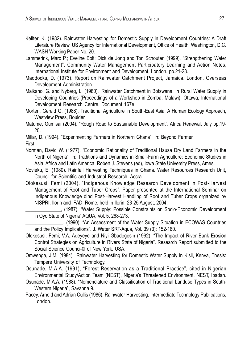- Kellter, K. (1982). Rainwater Harvesting for Domestic Supply in Development Countries: A Draft Literature Review. US Agency for International Development, Office of Health, Washington, D.C. WASH Working Paper No. 20.
- Lammerink, Marc P.; Eveline Bolt; Dick de Jong and Ton Schouten (1999), "Strengthening Water Management". Community Water Management Participatory Learning and Action Notes, International Institute for Environment and Development, London, pp.21-28.
- Maddocks, D. (1973). Report on Rainwater Catchment Project, Jamaica. London. Overseas Development Administration.
- Maikano, G. and Nyberg, L. (1980). 'Rainwater Catchment in Botswana. In Rural Water Supply in Developing Countries (Proceedings of a Workshop in Zomba, Malawi). Ottawa, International Development Research Centre, Document 167e.
- Morten, Gerald G. (1988). Traditional Agriculture in South-East Asia: A Human Ecology Approach, Westview Press, Boulder.

Matume, Gumisai (2004). "Rough Road to Sustainable Development". Africa Renewal. July pp.19- 20.

Millar, D. (1994). "Experimenting Farmers in Northern Ghana". In: Beyond Farmer First.

Norman, David W. (1977). "Economic Rationality of Traditional Hausa Dry Land Farmers in the North of Nigeria". In: Traditions and Dynamics in Small-Farm Agriculture: Economic Studies in Asia, Africa and Latin America. Robert J. Stevens (ed), Iowa State University Press, Ames.

- Novieku, E. (1980). Rainfall Harvesting Techniques in Ghana. Water Resources Research Unit, Council for Scientific and Industrial Research, Accra.
- Olokesusi, Femi (2004). "Indigenous Knowledge Research Development in Post-Harvest Management of Root and Tuber Crops". Paper presented at the International Seminar on Indigenous Knowledge dind Post-Harvest Handling of Root and Tuber Crops organized by NISPRI, Ilorin and IFAD, Rome, held in Ilorin, 23-25 August, 2004.

\_\_\_\_\_\_\_\_\_\_\_\_\_\_, (1987). "Water Supply: Possible Constraints on Socio-Economic Development in Oyo State of Nigeria" AQUA, Vol. 5, 268-273.

\_\_\_\_\_\_\_\_\_\_\_\_\_\_\_, (1990). "An Assessment of the Water Supply Situation in ECOWAS Countries and the Policy Implications". J. Water SRT-Aqua, Vol. 39 (3): 152-160.

- Olokesusi, Femi; V.A. Adeyeye and Niyi Gbadegesin (1992). "The Impact of River Bank Erosion Control Strategies on Agriculture in Rivers State of Nigeria". Research Report submitted to the Social Science Counci-0l of New York, USA.
- Omwenga, J.M. (1984). 'Rainwater Harvesting for Domestic Water Supply in Kisii, Kenya, Thesis: Tempere University of Technology.
- Osunade, M.A.A. (1991), "Forest Reservation as a Traditional Practice", cited in Nigerian Environmental Study/Action Team (NEST), Nigeria's Threatened Environment, NEST, Ibadan.
- Osunade, M.A.A. (1988). "Nomenclature and Classification of Traditional Landuse Types in South-Western Nigeria", Savanna 9.
- Pacey, Arnold and Adrian Cullis (1986). Rainwater Harvesting. Intermediate Technology Publications, London.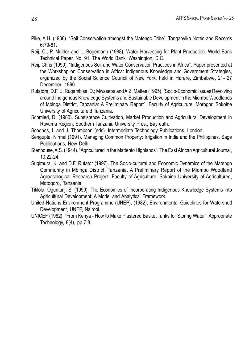- Pike, A.H. (1938). "Soil Conservation amongst the Matengo Tribe". Tanganyika Notes and Records 6:79-81.
- Reij, C.; P. Mulder and L. Bogemann (1988). Water Harvesting for Plant Production. World Bank Technical Paper, No. 91, The World Bank, Washington, D.C.
- Reij, Chris (1990). "Indigenous Soil and Water Conservation Practices in Africa". Paper presented at the Workshop on Conservation in Africa: Indigenous Knowledge and Government Strategies, organized by the Social Science Council of New York, held in Harare, Zimbabwe, 21- 27 December, 1990.
- Rutatora, D.F.' J. Rugambisa, D.; Mwaseba and A.Z. Mattee (1995). "Socio-Economic Issues Revolving around Indigenous Knowledge Systems and Sustainable Development in the Miombo Woodlands of Mbinga District, Tanzania: A Preliminary Report". Faculty of Agriculture, Morogor, Sokoine University of Agriculture,d Tanzania.
- Schmied, D. (1980). Subsistence Cultivation, Market Production and Agricultural Development in Ruvuma Region, Southern Tanzania University Pres,, Bayreuth.
- Scoones, I. and J. Thompson (eds). Intermediate Technology Publications, London.
- Sengupta, Nirmal (1991). Managing Common Property: Irrigation in India and the Philippines. Sage Publications, New Delhi.
- Stenhouse, A.S. (1944). "Agricultured in the Mattento Highlands". The East African Agricultural Journal, 10:22-24.
- Sugimura, K. and D.F. Rutator (1997). The Socio-cultural and Economic Dynamics of the Matengo Community in Mbinga District, Tanzania. A Preliminary Report of the Miombo Woodland Agroecological Research Project. Faculty of Agriculture, Sokoine University of Agricultured, Motogoro, Tanzania.
- Titilola, Oguntunji S. (1990), The Economics of Incorporating Indigenous Knowledge Systems into Agricultural Development: A Model and Analytical Framework.
- United Nations Environment Programme (UNEP), (1982), Environmental Guidelines for Watershed Development, UNEP, Nairobi.
- UNICEF (1982). "From Kenya How to Make Plastered Basket Tanks for Storing Water". Appropriate Technology, 8(4), pp.7-8.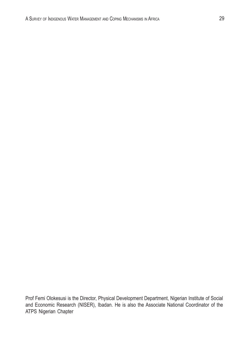Prof Femi Olokesusi is the Director, Physical Development Department, Nigerian Institute of Social and Economic Research (NISER), Ibadan. He is also the Associate National Coordinator of the ATPS Nigerian Chapter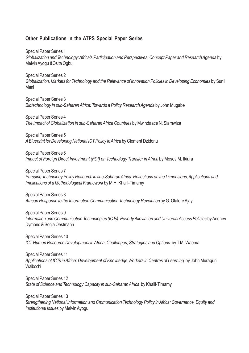#### Other Publications in the ATPS Special Paper Series

Special Paper Series 1 Globalization and Technology: Africa's Participation and Perspectives: Concept Paper and Research Agenda by Melvin Ayogu &Osita Ogbu

Special Paper Series 2 Globalization, Markets for Technology and the Relevance of Innovation Policies in Developing Economies by Sunil Mani

Special Paper Series 3 Biotechnology in sub-Saharan Africa: Towards a Policy Research Agenda by John Mugabe

Special Paper Series 4 The Impact of Globalization in sub-Saharan Africa Countries by Mwindaace N. Siamwiza

Special Paper Series 5 A Blueprint for Developing National ICT Policy in Africa by Clement Dzidonu

Special Paper Series 6 Impact of Foreign Direct Investment (FDI) on Technology Transfer in Africa by Moses M. Ikiara

Special Paper Series 7 Pursuing Technology Policy Research in sub-Saharan Africa: Reflections on the Dimensions, Applications and Implications of a Methodological Framework by M.H. Khalil-Timamy

Special Paper Series 8 African Response to the Information Communication Technology Revolution by G. Olalere Ajayi

Special Paper Series 9 Information and Communication Technologies (ICTs): Poverty Alleviation and Universal Access Policies by Andrew Dymond & Sonja Oestmann

Special Paper Series 10 ICT Human Resource Development in Africa: Challenges, Strategies and Options by T.M. Waema

Special Paper Series 11 Applications of ICTs in Africa: Development of Knowledge Workers in Centres of Learning by John Muraguri Waibochi

Special Paper Series 12 State of Science and Technology Capacity in sub-Saharan Africa by Khalil-Timamy

Special Paper Series 13 Strengthening National Information and Cmmunication Technology Policy in Africa: Governance, Equity and Institutional Issues by Melvin Ayogu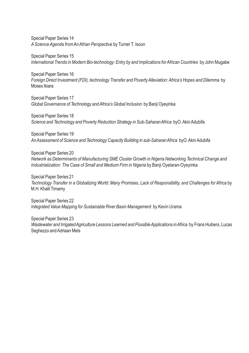Special Paper Series 14 A Science Agenda from An Afrian Perspective by Turner T. Isoun

Special Paper Series 15 International Trends in Modern Bio-technology: Entry by and Implications for African Countries by John Mugabe

Special Paper Series 16 Foreign Direct Investment (FDI), technology Transfer and Poverty Alleviation: Africa's Hopes and Dilemma by Moses Ikiara

Special Paper Series 17 Global Governance of Technology and Africa's Global Inclusion by Banji Oyeyinka

Special Paper Series 18 Science and Technology and Poverty Reduction Strategy in Sub-Saharan Africa byO. Akin Adubifa

Special Paper Series 19 An Assessment of Science and Technology Capacity Building in sub-Saharan Africa byO. Akin Adubifa

Special Paper Series 20 Network as Determinants of Manufacturing SME Cluster Growth in Nigeria Networking Technical Change and Industrialization: The Case of Small and Medium Firm in Nigeria by Banji Oyelaran-Oyeyinka

Special Paper Series 21 Technology Transfer in a Globalizing World: Many Promises, Lack of Responsibility, and Challenges for Africa by M.H. Khalil Timamy

Special Paper Series 22 Integrated Value Mapping for Sustainable River Basin Management by Kevin Urama

Special Paper Series 23 Wastewater and Irrigated Agriculture Lessons Learned and Possible Applications in Africa by Frans Huibers, Lucas Seghezzo and Adriaan Mels